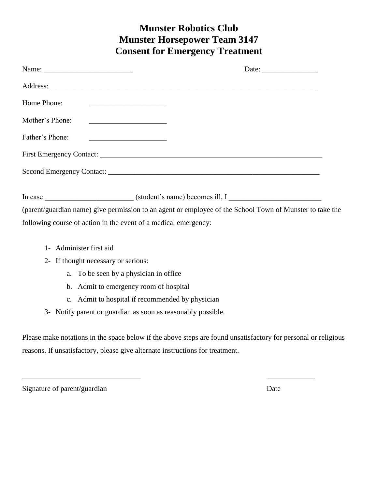## **Munster Robotics Club Munster Horsepower Team 3147 Consent for Emergency Treatment**

|                 | Date: $\frac{1}{\sqrt{1-\frac{1}{2}}\sqrt{1-\frac{1}{2}}\sqrt{1-\frac{1}{2}}\sqrt{1-\frac{1}{2}}\sqrt{1-\frac{1}{2}}\sqrt{1-\frac{1}{2}}\sqrt{1-\frac{1}{2}}\sqrt{1-\frac{1}{2}}\sqrt{1-\frac{1}{2}}\sqrt{1-\frac{1}{2}}\sqrt{1-\frac{1}{2}}\sqrt{1-\frac{1}{2}}\sqrt{1-\frac{1}{2}}\sqrt{1-\frac{1}{2}}\sqrt{1-\frac{1}{2}}\sqrt{1-\frac{1}{2}}\sqrt{1-\frac{1}{2}}\sqrt{1-\frac{1}{2}}\sqrt{1-\frac{1}{2}}$ |
|-----------------|---------------------------------------------------------------------------------------------------------------------------------------------------------------------------------------------------------------------------------------------------------------------------------------------------------------------------------------------------------------------------------------------------------------|
|                 |                                                                                                                                                                                                                                                                                                                                                                                                               |
| Home Phone:     | <u> 1986 - Johann Barnett, fransk konge og det ble større og det ble større og det ble større og det ble større o</u>                                                                                                                                                                                                                                                                                         |
| Mother's Phone: | <u> 1980 - Andrea Andrew Maria (h. 1980).</u>                                                                                                                                                                                                                                                                                                                                                                 |
| Father's Phone: | <u> 1989 - Johann Barnett, fransk politiker (</u>                                                                                                                                                                                                                                                                                                                                                             |
|                 |                                                                                                                                                                                                                                                                                                                                                                                                               |
|                 |                                                                                                                                                                                                                                                                                                                                                                                                               |
|                 |                                                                                                                                                                                                                                                                                                                                                                                                               |
|                 |                                                                                                                                                                                                                                                                                                                                                                                                               |
|                 | (parent/guardian name) give permission to an agent or employee of the School Town of Munster to take the                                                                                                                                                                                                                                                                                                      |
|                 | following course of action in the event of a medical emergency:                                                                                                                                                                                                                                                                                                                                               |

- 1- Administer first aid
- 2- If thought necessary or serious:
	- a. To be seen by a physician in office
	- b. Admit to emergency room of hospital
	- c. Admit to hospital if recommended by physician
- 3- Notify parent or guardian as soon as reasonably possible.

Please make notations in the space below if the above steps are found unsatisfactory for personal or religious reasons. If unsatisfactory, please give alternate instructions for treatment.

 $\overline{\phantom{a}}$  , and the contract of the contract of the contract of the contract of the contract of the contract of the contract of the contract of the contract of the contract of the contract of the contract of the contrac

Signature of parent/guardian Date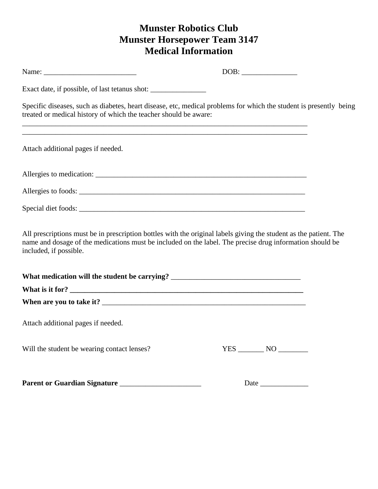## **Munster Robotics Club Munster Horsepower Team 3147 Medical Information**

|                                                                                                                                                                                                                                                         | $\boxed{\text{DOB:}\qquad \qquad }$ |  |
|---------------------------------------------------------------------------------------------------------------------------------------------------------------------------------------------------------------------------------------------------------|-------------------------------------|--|
| Exact date, if possible, of last tetanus shot: __________________________________                                                                                                                                                                       |                                     |  |
| Specific diseases, such as diabetes, heart disease, etc, medical problems for which the student is presently being<br>treated or medical history of which the teacher should be aware:                                                                  |                                     |  |
| ,我们也不会有什么。""我们的人,我们也不会有什么?""我们的人,我们也不会有什么?""我们的人,我们也不会有什么?""我们的人,我们也不会有什么?""我们的人<br>Attach additional pages if needed.                                                                                                                                  |                                     |  |
|                                                                                                                                                                                                                                                         |                                     |  |
| Allergies to foods:                                                                                                                                                                                                                                     |                                     |  |
|                                                                                                                                                                                                                                                         |                                     |  |
| All prescriptions must be in prescription bottles with the original labels giving the student as the patient. The<br>name and dosage of the medications must be included on the label. The precise drug information should be<br>included, if possible. |                                     |  |
| What medication will the student be carrying? ___________________________________                                                                                                                                                                       |                                     |  |
| What is it for?                                                                                                                                                                                                                                         |                                     |  |
|                                                                                                                                                                                                                                                         |                                     |  |
| Attach additional pages if needed.                                                                                                                                                                                                                      |                                     |  |
| Will the student be wearing contact lenses?                                                                                                                                                                                                             |                                     |  |
|                                                                                                                                                                                                                                                         |                                     |  |